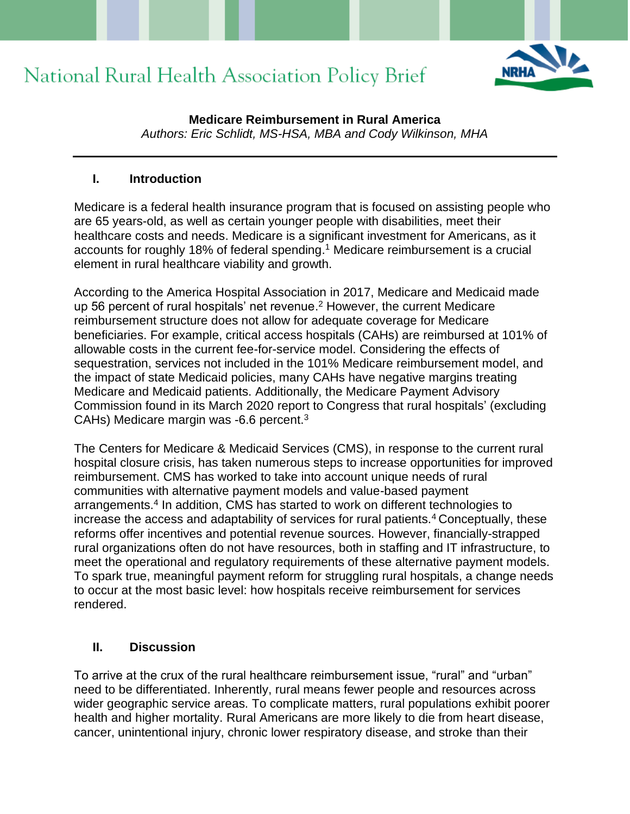

**Medicare Reimbursement in Rural America** *Authors: Eric Schlidt, MS-HSA, MBA and Cody Wilkinson, MHA*

#### **I. Introduction**

Medicare is a federal health insurance program that is focused on assisting people who are 65 years-old, as well as certain younger people with disabilities, meet their healthcare costs and needs. Medicare is a significant investment for Americans, as it accounts for roughly 18% of federal spending. <sup>1</sup> Medicare reimbursement is a crucial element in rural healthcare viability and growth.

According to the America Hospital Association in 2017, Medicare and Medicaid made up 56 percent of rural hospitals' net revenue. <sup>2</sup> However, the current Medicare reimbursement structure does not allow for adequate coverage for Medicare beneficiaries. For example, critical access hospitals (CAHs) are reimbursed at 101% of allowable costs in the current fee-for-service model. Considering the effects of sequestration, services not included in the 101% Medicare reimbursement model, and the impact of state Medicaid policies, many CAHs have negative margins treating Medicare and Medicaid patients. Additionally, the Medicare Payment Advisory Commission found in its March 2020 report to Congress that rural hospitals' (excluding CAHs) Medicare margin was -6.6 percent.<sup>3</sup>

The Centers for Medicare & Medicaid Services (CMS), in response to the current rural hospital closure crisis, has taken numerous steps to increase opportunities for improved reimbursement. CMS has worked to take into account unique needs of rural communities with alternative payment models and value-based payment arrangements.<sup>4</sup> In addition, CMS has started to work on different technologies to increase the access and adaptability of services for rural patients.<sup>4</sup> Conceptually, these reforms offer incentives and potential revenue sources. However, financially-strapped rural organizations often do not have resources, both in staffing and IT infrastructure, to meet the operational and regulatory requirements of these alternative payment models. To spark true, meaningful payment reform for struggling rural hospitals, a change needs to occur at the most basic level: how hospitals receive reimbursement for services rendered.

#### **II. Discussion**

To arrive at the crux of the rural healthcare reimbursement issue, "rural" and "urban" need to be differentiated. Inherently, rural means fewer people and resources across wider geographic service areas. To complicate matters, rural populations exhibit poorer health and higher mortality. Rural Americans are more likely to die from heart disease, cancer, unintentional injury, chronic lower respiratory disease, and stroke than their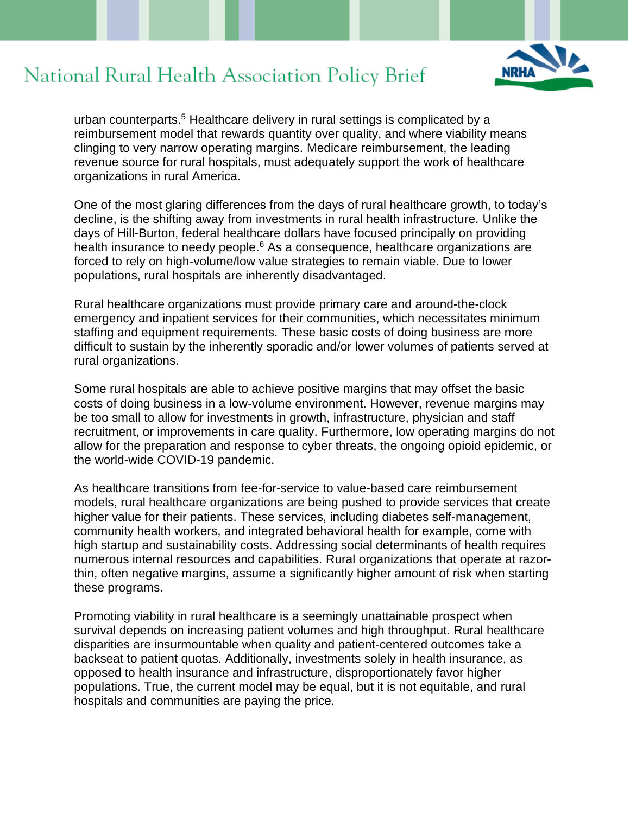

urban counterparts.<sup>5</sup> Healthcare delivery in rural settings is complicated by a reimbursement model that rewards quantity over quality, and where viability means clinging to very narrow operating margins. Medicare reimbursement, the leading revenue source for rural hospitals, must adequately support the work of healthcare organizations in rural America.

One of the most glaring differences from the days of rural healthcare growth, to today's decline, is the shifting away from investments in rural health infrastructure. Unlike the days of Hill-Burton, federal healthcare dollars have focused principally on providing health insurance to needy people.<sup>6</sup> As a consequence, healthcare organizations are forced to rely on high-volume/low value strategies to remain viable. Due to lower populations, rural hospitals are inherently disadvantaged.

Rural healthcare organizations must provide primary care and around-the-clock emergency and inpatient services for their communities, which necessitates minimum staffing and equipment requirements. These basic costs of doing business are more difficult to sustain by the inherently sporadic and/or lower volumes of patients served at rural organizations.

Some rural hospitals are able to achieve positive margins that may offset the basic costs of doing business in a low-volume environment. However, revenue margins may be too small to allow for investments in growth, infrastructure, physician and staff recruitment, or improvements in care quality. Furthermore, low operating margins do not allow for the preparation and response to cyber threats, the ongoing opioid epidemic, or the world-wide COVID-19 pandemic.

As healthcare transitions from fee-for-service to value-based care reimbursement models, rural healthcare organizations are being pushed to provide services that create higher value for their patients. These services, including diabetes self-management, community health workers, and integrated behavioral health for example, come with high startup and sustainability costs. Addressing social determinants of health requires numerous internal resources and capabilities. Rural organizations that operate at razorthin, often negative margins, assume a significantly higher amount of risk when starting these programs.

Promoting viability in rural healthcare is a seemingly unattainable prospect when survival depends on increasing patient volumes and high throughput. Rural healthcare disparities are insurmountable when quality and patient-centered outcomes take a backseat to patient quotas. Additionally, investments solely in health insurance, as opposed to health insurance and infrastructure, disproportionately favor higher populations. True, the current model may be equal, but it is not equitable, and rural hospitals and communities are paying the price.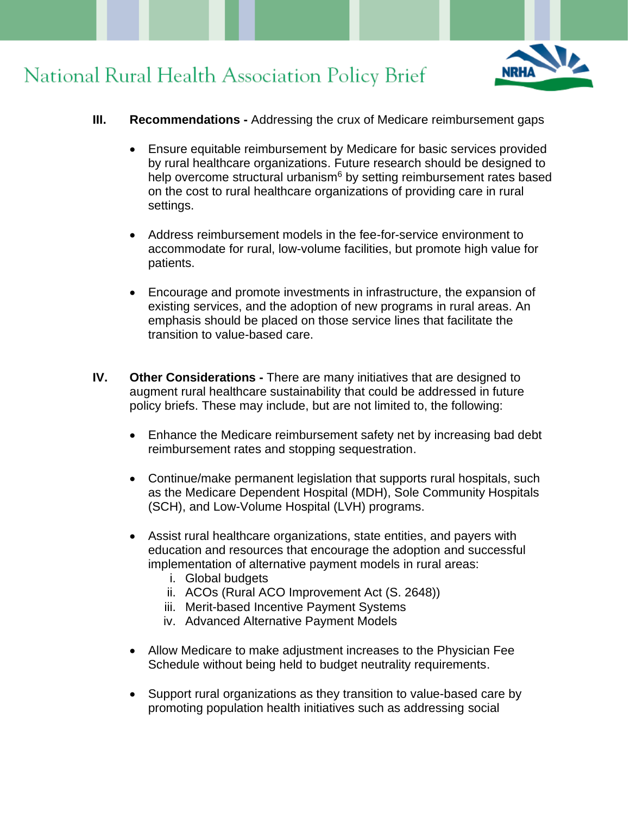

- **III. Recommendations -** Addressing the crux of Medicare reimbursement gaps
	- Ensure equitable reimbursement by Medicare for basic services provided by rural healthcare organizations. Future research should be designed to help overcome structural urbanism $6$  by setting reimbursement rates based on the cost to rural healthcare organizations of providing care in rural settings.
	- Address reimbursement models in the fee-for-service environment to accommodate for rural, low-volume facilities, but promote high value for patients.
	- Encourage and promote investments in infrastructure, the expansion of existing services, and the adoption of new programs in rural areas. An emphasis should be placed on those service lines that facilitate the transition to value-based care.
- **IV. Other Considerations -** There are many initiatives that are designed to augment rural healthcare sustainability that could be addressed in future policy briefs. These may include, but are not limited to, the following:
	- Enhance the Medicare reimbursement safety net by increasing bad debt reimbursement rates and stopping sequestration.
	- Continue/make permanent legislation that supports rural hospitals, such as the Medicare Dependent Hospital (MDH), Sole Community Hospitals (SCH), and Low-Volume Hospital (LVH) programs.
	- Assist rural healthcare organizations, state entities, and payers with education and resources that encourage the adoption and successful implementation of alternative payment models in rural areas:
		- i. Global budgets
		- ii. ACOs (Rural ACO Improvement Act (S. 2648))
		- iii. Merit-based Incentive Payment Systems
		- iv. Advanced Alternative Payment Models
	- Allow Medicare to make adjustment increases to the Physician Fee Schedule without being held to budget neutrality requirements.
	- Support rural organizations as they transition to value-based care by promoting population health initiatives such as addressing social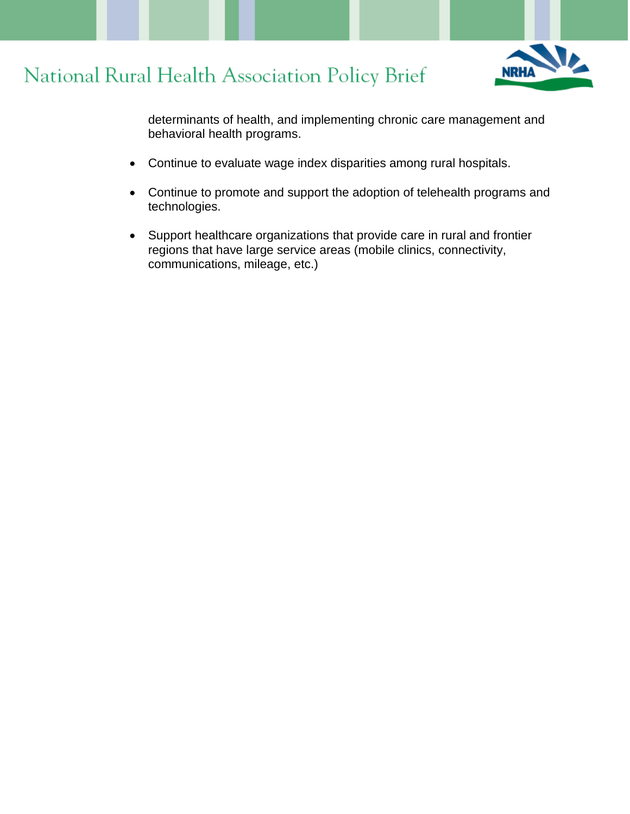



determinants of health, and implementing chronic care management and behavioral health programs.

- Continue to evaluate wage index disparities among rural hospitals.
- Continue to promote and support the adoption of telehealth programs and technologies.
- Support healthcare organizations that provide care in rural and frontier regions that have large service areas (mobile clinics, connectivity, communications, mileage, etc.)